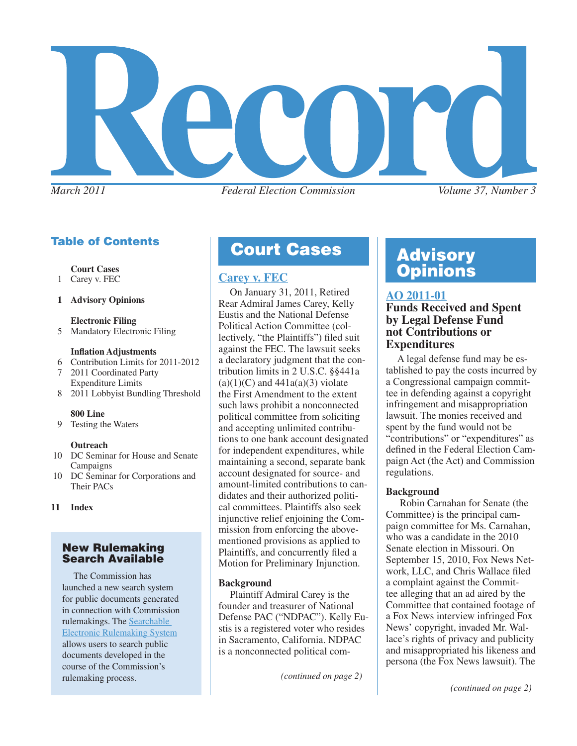

### Table of Contents

 **Court Cases**

- 1 Carey v. FEC
- **1 Advisory Opinions**

 **Electronic Filing**

5 Mandatory Electronic Filing

### **Inflation Adjustments**

- 6 Contribution Limits for 2011-2012
- 7 2011 Coordinated Party Expenditure Limits
- 8 2011 Lobbyist Bundling Threshold

#### **800 Line**

9 Testing the Waters

#### **Outreach**

- 10 DC Seminar for House and Senate Campaigns
- 10 DC Seminar for Corporations and Their PACs
- **11 Index**

### New Rulemaking Search Available

 The Commission has launched a new search system for public documents generated in connection with Commission rulemakings. The [Searchable](http://sers.nictusa.com/fosers/)  [Electronic Rulemaking System](http://sers.nictusa.com/fosers/) allows users to search public documents developed in the course of the Commission's rulemaking process.

# **Court Cases | Advisory**

On January 31, 2011, Retired Rear Admiral James Carey, Kelly Eustis and the National Defense Political Action Committee (collectively, "the Plaintiffs") filed suit against the FEC. The lawsuit seeks a declaratory judgment that the contribution limits in 2 U.S.C. §§441a  $(a)(1)(C)$  and  $441a(a)(3)$  violate the First Amendment to the extent such laws prohibit a nonconnected political committee from soliciting and accepting unlimited contributions to one bank account designated for independent expenditures, while maintaining a second, separate bank account designated for source- and amount-limited contributions to candidates and their authorized political committees. Plaintiffs also seek injunctive relief enjoining the Commission from enforcing the abovementioned provisions as applied to Plaintiffs, and concurrently filed a Motion for Preliminary Injunction.

### **Background**

Plaintiff Admiral Carey is the founder and treasurer of National Defense PAC ("NDPAC"). Kelly Eustis is a registered voter who resides in Sacramento, California. NDPAC is a nonconnected political com-

*(continued on page 2)*

# **[Carey v. FEC](http://www.fec.gov/law/litigation/carey_carey_complaint.pdf) Carey v. FEC**

### **[AO 2011-01](http://saos.fec.gov/aodocs/AO%202011-01.pdf)**

### **Funds Received and Spent by Legal Defense Fund not Contributions or Expenditures**

A legal defense fund may be established to pay the costs incurred by a Congressional campaign committee in defending against a copyright infringement and misappropriation lawsuit. The monies received and spent by the fund would not be "contributions" or "expenditures" as defined in the Federal Election Campaign Act (the Act) and Commission regulations.

### **Background**

 Robin Carnahan for Senate (the Committee) is the principal campaign committee for Ms. Carnahan, who was a candidate in the 2010 Senate election in Missouri. On September 15, 2010, Fox News Network, LLC, and Chris Wallace filed a complaint against the Committee alleging that an ad aired by the Committee that contained footage of a Fox News interview infringed Fox News' copyright, invaded Mr. Wallace's rights of privacy and publicity and misappropriated his likeness and persona (the Fox News lawsuit). The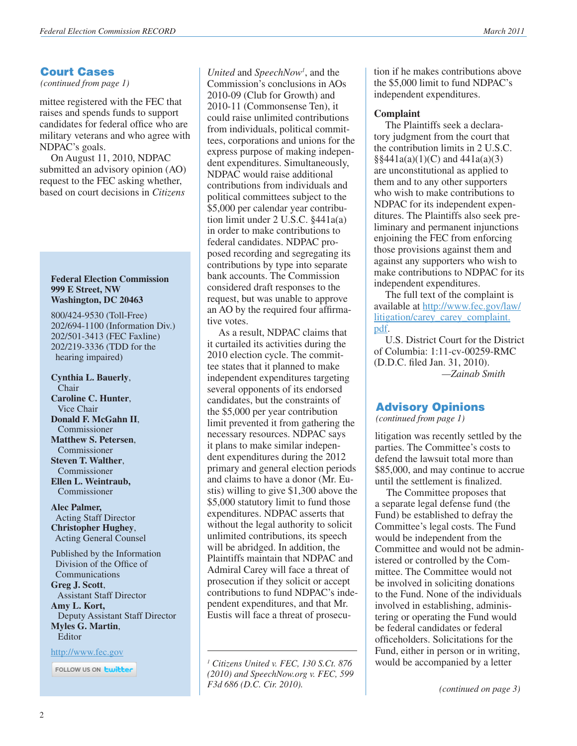### Court Cases

*(continued from page 1)*

mittee registered with the FEC that raises and spends funds to support candidates for federal office who are military veterans and who agree with NDPAC's goals.

On August 11, 2010, NDPAC submitted an advisory opinion (AO) request to the FEC asking whether, based on court decisions in *Citizens* 

#### **Federal Election Commission 999 E Street, NW Washington, DC 20463**

800/424-9530 (Toll-Free) 202/694-1100 (Information Div.) 202/501-3413 (FEC Faxline) 202/219-3336 (TDD for the hearing impaired)

**Cynthia L. Bauerly**, Chair **Caroline C. Hunter**, Vice Chair **Donald F. McGahn II**, Commissioner **Matthew S. Petersen**, Commissioner **Steven T. Walther**, Commissioner **Ellen L. Weintraub,**  Commissioner

**Alec Palmer,** Acting Staff Director **Christopher Hughey**, Acting General Counsel

Published by the Information Division of the Office of Communications **Greg J. Scott**, Assistant Staff Director **Amy L. Kort,** Deputy Assistant Staff Director **Myles G. Martin**, Editor

<http://www.fec.gov>

FOLLOW US ON **Ewitter** 

*United* and *SpeechNow<sup>1</sup>* , and the Commission's conclusions in AOs 2010-09 (Club for Growth) and 2010-11 (Commonsense Ten), it could raise unlimited contributions from individuals, political committees, corporations and unions for the express purpose of making independent expenditures. Simultaneously, NDPAC would raise additional contributions from individuals and political committees subject to the \$5,000 per calendar year contribution limit under 2 U.S.C. §441a(a) in order to make contributions to federal candidates. NDPAC proposed recording and segregating its contributions by type into separate bank accounts. The Commission considered draft responses to the request, but was unable to approve an AO by the required four affirmative votes.

As a result, NDPAC claims that it curtailed its activities during the 2010 election cycle. The committee states that it planned to make independent expenditures targeting several opponents of its endorsed candidates, but the constraints of the \$5,000 per year contribution limit prevented it from gathering the necessary resources. NDPAC says it plans to make similar independent expenditures during the 2012 primary and general election periods and claims to have a donor (Mr. Eustis) willing to give \$1,300 above the \$5,000 statutory limit to fund those expenditures. NDPAC asserts that without the legal authority to solicit unlimited contributions, its speech will be abridged. In addition, the Plaintiffs maintain that NDPAC and Admiral Carey will face a threat of prosecution if they solicit or accept contributions to fund NDPAC's independent expenditures, and that Mr. Eustis will face a threat of prosecu-

*1 Citizens United v. FEC, 130 S.Ct. 876 (2010) and SpeechNow.org v. FEC, 599 F3d 686 (D.C. Cir. 2010).*

tion if he makes contributions above the \$5,000 limit to fund NDPAC's independent expenditures.

### **Complaint**

The Plaintiffs seek a declaratory judgment from the court that the contribution limits in 2 U.S.C.  $\S$ §441a(a)(1)(C) and 441a(a)(3) are unconstitutional as applied to them and to any other supporters who wish to make contributions to NDPAC for its independent expenditures. The Plaintiffs also seek preliminary and permanent injunctions enjoining the FEC from enforcing those provisions against them and against any supporters who wish to make contributions to NDPAC for its independent expenditures.

The full text of the complaint is available at [http://www.fec.gov/law/](http://www.fec.gov/law/litigation/carey_carey_complaint.pdf) [litigation/carey\\_carey\\_complaint.](http://www.fec.gov/law/litigation/carey_carey_complaint.pdf) [pdf](http://www.fec.gov/law/litigation/carey_carey_complaint.pdf).

U.S. District Court for the District of Columbia: 1:11-cv-00259-RMC (D.D.C. filed Jan. 31, 2010).  *—Zainab Smith*

### Advisory Opinions

*(continued from page 1)*

litigation was recently settled by the parties. The Committee's costs to defend the lawsuit total more than \$85,000, and may continue to accrue until the settlement is finalized.

The Committee proposes that a separate legal defense fund (the Fund) be established to defray the Committee's legal costs. The Fund would be independent from the Committee and would not be administered or controlled by the Committee. The Committee would not be involved in soliciting donations to the Fund. None of the individuals involved in establishing, administering or operating the Fund would be federal candidates or federal officeholders. Solicitations for the Fund, either in person or in writing, would be accompanied by a letter

*(continued on page 3)*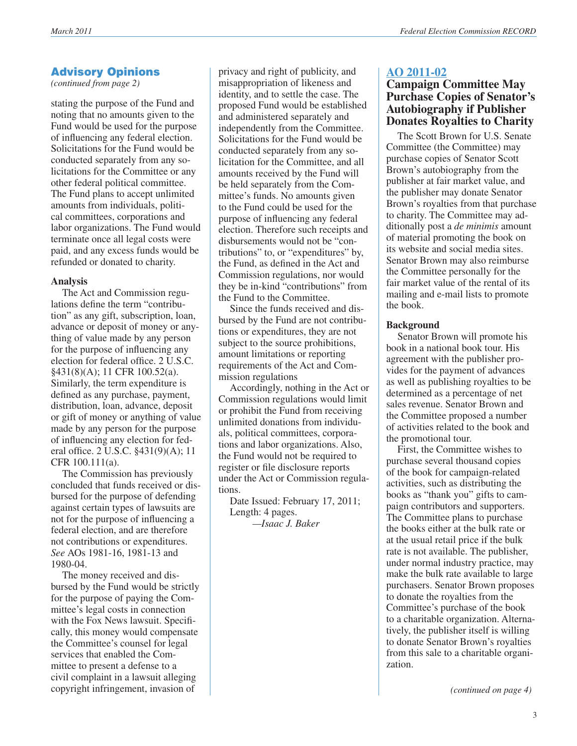### Advisory Opinions

*(continued from page 2)*

stating the purpose of the Fund and noting that no amounts given to the Fund would be used for the purpose of influencing any federal election. Solicitations for the Fund would be conducted separately from any solicitations for the Committee or any other federal political committee. The Fund plans to accept unlimited amounts from individuals, political committees, corporations and labor organizations. The Fund would terminate once all legal costs were paid, and any excess funds would be refunded or donated to charity.

### **Analysis**

The Act and Commission regulations define the term "contribution" as any gift, subscription, loan, advance or deposit of money or anything of value made by any person for the purpose of influencing any election for federal office. 2 U.S.C. §431(8)(A); 11 CFR 100.52(a). Similarly, the term expenditure is defined as any purchase, payment, distribution, loan, advance, deposit or gift of money or anything of value made by any person for the purpose of influencing any election for federal office. 2 U.S.C. §431(9)(A); 11 CFR 100.111(a).

The Commission has previously concluded that funds received or disbursed for the purpose of defending against certain types of lawsuits are not for the purpose of influencing a federal election, and are therefore not contributions or expenditures. *See* AOs 1981-16, 1981-13 and 1980-04.

The money received and disbursed by the Fund would be strictly for the purpose of paying the Committee's legal costs in connection with the Fox News lawsuit. Specifically, this money would compensate the Committee's counsel for legal services that enabled the Committee to present a defense to a civil complaint in a lawsuit alleging copyright infringement, invasion of

privacy and right of publicity, and misappropriation of likeness and identity, and to settle the case. The proposed Fund would be established and administered separately and independently from the Committee. Solicitations for the Fund would be conducted separately from any solicitation for the Committee, and all amounts received by the Fund will be held separately from the Committee's funds. No amounts given to the Fund could be used for the purpose of influencing any federal election. Therefore such receipts and disbursements would not be "contributions" to, or "expenditures" by, the Fund, as defined in the Act and Commission regulations, nor would they be in-kind "contributions" from the Fund to the Committee.

Since the funds received and disbursed by the Fund are not contributions or expenditures, they are not subject to the source prohibitions, amount limitations or reporting requirements of the Act and Commission regulations

Accordingly, nothing in the Act or Commission regulations would limit or prohibit the Fund from receiving unlimited donations from individuals, political committees, corporations and labor organizations. Also, the Fund would not be required to register or file disclosure reports under the Act or Commission regulations.

Date Issued: February 17, 2011; Length: 4 pages.

*—Isaac J. Baker*

### **[AO 2011-02](http://saos.fec.gov/aodocs/AO%202011-02.pdf)**

### **Campaign Committee May Purchase Copies of Senator's Autobiography if Publisher Donates Royalties to Charity**

The Scott Brown for U.S. Senate Committee (the Committee) may purchase copies of Senator Scott Brown's autobiography from the publisher at fair market value, and the publisher may donate Senator Brown's royalties from that purchase to charity. The Committee may additionally post a *de minimis* amount of material promoting the book on its website and social media sites. Senator Brown may also reimburse the Committee personally for the fair market value of the rental of its mailing and e-mail lists to promote the book.

### **Background**

Senator Brown will promote his book in a national book tour. His agreement with the publisher provides for the payment of advances as well as publishing royalties to be determined as a percentage of net sales revenue. Senator Brown and the Committee proposed a number of activities related to the book and the promotional tour.

First, the Committee wishes to purchase several thousand copies of the book for campaign-related activities, such as distributing the books as "thank you" gifts to campaign contributors and supporters. The Committee plans to purchase the books either at the bulk rate or at the usual retail price if the bulk rate is not available. The publisher, under normal industry practice, may make the bulk rate available to large purchasers. Senator Brown proposes to donate the royalties from the Committee's purchase of the book to a charitable organization. Alternatively, the publisher itself is willing to donate Senator Brown's royalties from this sale to a charitable organization.

*(continued on page 4)*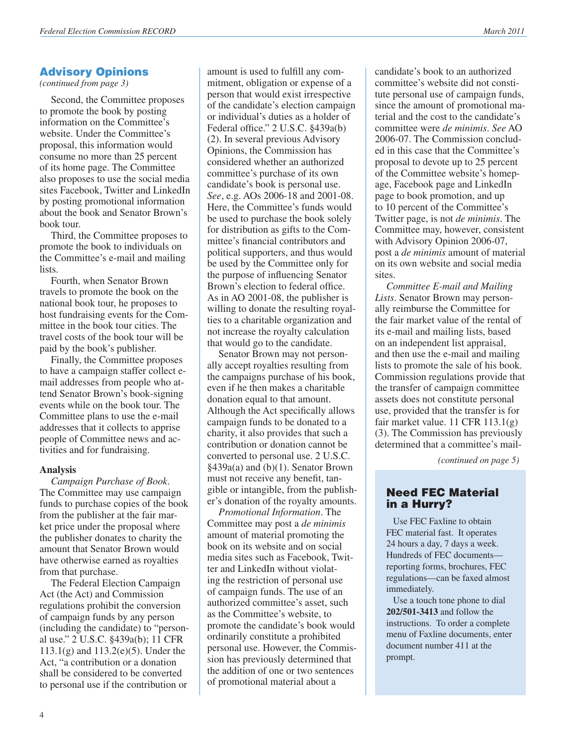### Advisory Opinions

*(continued from page 3)*

Second, the Committee proposes to promote the book by posting information on the Committee's website. Under the Committee's proposal, this information would consume no more than 25 percent of its home page. The Committee also proposes to use the social media sites Facebook, Twitter and LinkedIn by posting promotional information about the book and Senator Brown's book tour.

Third, the Committee proposes to promote the book to individuals on the Committee's e-mail and mailing lists.

Fourth, when Senator Brown travels to promote the book on the national book tour, he proposes to host fundraising events for the Committee in the book tour cities. The travel costs of the book tour will be paid by the book's publisher.

Finally, the Committee proposes to have a campaign staffer collect email addresses from people who attend Senator Brown's book-signing events while on the book tour. The Committee plans to use the e-mail addresses that it collects to apprise people of Committee news and activities and for fundraising.

#### **Analysis**

*Campaign Purchase of Book*. The Committee may use campaign funds to purchase copies of the book from the publisher at the fair market price under the proposal where the publisher donates to charity the amount that Senator Brown would have otherwise earned as royalties from that purchase.

The Federal Election Campaign Act (the Act) and Commission regulations prohibit the conversion of campaign funds by any person (including the candidate) to "personal use." 2 U.S.C. §439a(b); 11 CFR 113.1(g) and 113.2(e)(5). Under the Act, "a contribution or a donation shall be considered to be converted to personal use if the contribution or

amount is used to fulfill any commitment, obligation or expense of a person that would exist irrespective of the candidate's election campaign or individual's duties as a holder of Federal office." 2 U.S.C. §439a(b) (2). In several previous Advisory Opinions, the Commission has considered whether an authorized committee's purchase of its own candidate's book is personal use. *See*, e.g. AOs 2006-18 and 2001-08. Here, the Committee's funds would be used to purchase the book solely for distribution as gifts to the Committee's financial contributors and political supporters, and thus would be used by the Committee only for the purpose of influencing Senator Brown's election to federal office. As in AO 2001-08, the publisher is willing to donate the resulting royalties to a charitable organization and not increase the royalty calculation that would go to the candidate.

Senator Brown may not personally accept royalties resulting from the campaigns purchase of his book, even if he then makes a charitable donation equal to that amount. Although the Act specifically allows campaign funds to be donated to a charity, it also provides that such a contribution or donation cannot be converted to personal use. 2 U.S.C. §439a(a) and (b)(1). Senator Brown must not receive any benefit, tangible or intangible, from the publisher's donation of the royalty amounts.

*Promotional Information*. The Committee may post a *de minimis* amount of material promoting the book on its website and on social media sites such as Facebook, Twitter and LinkedIn without violating the restriction of personal use of campaign funds. The use of an authorized committee's asset, such as the Committee's website, to promote the candidate's book would ordinarily constitute a prohibited personal use. However, the Commission has previously determined that the addition of one or two sentences of promotional material about a

candidate's book to an authorized committee's website did not constitute personal use of campaign funds, since the amount of promotional material and the cost to the candidate's committee were *de minimis*. *See* AO 2006-07. The Commission concluded in this case that the Committee's proposal to devote up to 25 percent of the Committee website's homepage, Facebook page and LinkedIn page to book promotion, and up to 10 percent of the Committee's Twitter page, is not *de minimis*. The Committee may, however, consistent with Advisory Opinion 2006-07, post a *de minimis* amount of material on its own website and social media sites.

*Committee E-mail and Mailing Lists*. Senator Brown may personally reimburse the Committee for the fair market value of the rental of its e-mail and mailing lists, based on an independent list appraisal, and then use the e-mail and mailing lists to promote the sale of his book. Commission regulations provide that the transfer of campaign committee assets does not constitute personal use, provided that the transfer is for fair market value. 11 CFR 113.1(g) (3). The Commission has previously determined that a committee's mail-

*(continued on page 5)*

### Need FEC Material in a Hurry?

 Use FEC Faxline to obtain FEC material fast. It operates 24 hours a day, 7 days a week. Hundreds of FEC documents reporting forms, brochures, FEC regulations—can be faxed almost immediately.

 Use a touch tone phone to dial **202/501-3413** and follow the instructions. To order a complete menu of Faxline documents, enter document number 411 at the prompt.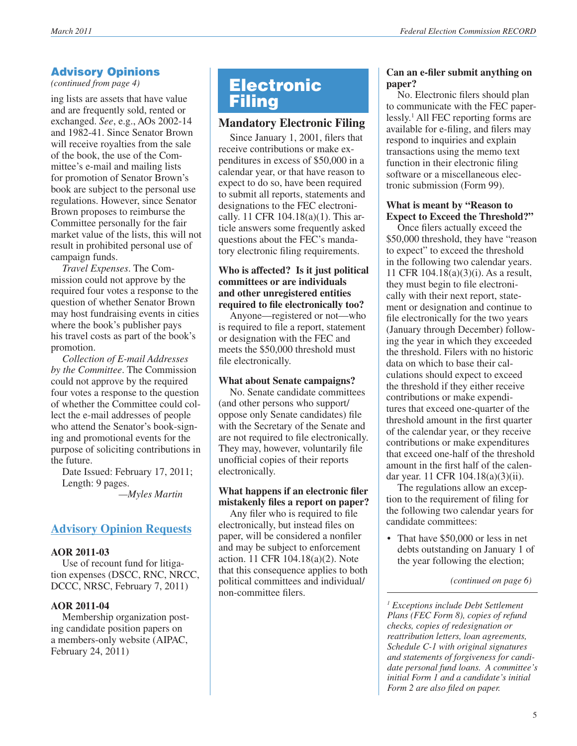### Advisory Opinions

*(continued from page 4)*

ing lists are assets that have value and are frequently sold, rented or exchanged. *See*, e.g., AOs 2002-14 and 1982-41. Since Senator Brown will receive royalties from the sale of the book, the use of the Committee's e-mail and mailing lists for promotion of Senator Brown's book are subject to the personal use regulations. However, since Senator Brown proposes to reimburse the Committee personally for the fair market value of the lists, this will not result in prohibited personal use of campaign funds.

*Travel Expenses*. The Commission could not approve by the required four votes a response to the question of whether Senator Brown may host fundraising events in cities where the book's publisher pays his travel costs as part of the book's promotion.

*Collection of E-mail Addresses by the Committee*. The Commission could not approve by the required four votes a response to the question of whether the Committee could collect the e-mail addresses of people who attend the Senator's book-signing and promotional events for the purpose of soliciting contributions in the future.

Date Issued: February 17, 2011; Length: 9 pages.

 *—Myles Martin*

### **Advisory Opinion Requests**

### **AOR 2011-03**

Use of recount fund for litigation expenses (DSCC, RNC, NRCC, DCCC, NRSC, February 7, 2011)

### **AOR 2011-04**

Membership organization posting candidate position papers on a members-only website (AIPAC, February 24, 2011)

### Electronic **Filing**

### **Mandatory Electronic Filing**

Since January 1, 2001, filers that receive contributions or make expenditures in excess of \$50,000 in a calendar year, or that have reason to expect to do so, have been required to submit all reports, statements and designations to the FEC electronically. 11 CFR 104.18(a)(1). This article answers some frequently asked questions about the FEC's mandatory electronic filing requirements.

### **Who is affected? Is it just political committees or are individuals and other unregistered entities required to file electronically too?**

Anyone—registered or not—who is required to file a report, statement or designation with the FEC and meets the \$50,000 threshold must file electronically.

### **What about Senate campaigns?**

No. Senate candidate committees (and other persons who support/ oppose only Senate candidates) file with the Secretary of the Senate and are not required to file electronically. They may, however, voluntarily file unofficial copies of their reports electronically.

### **What happens if an electronic filer mistakenly files a report on paper?**

Any filer who is required to file electronically, but instead files on paper, will be considered a nonfiler and may be subject to enforcement action. 11 CFR 104.18(a)(2). Note that this consequence applies to both political committees and individual/ non-committee filers.

### **Can an e-filer submit anything on paper?**

No. Electronic filers should plan to communicate with the FEC paperlessly.1 All FEC reporting forms are available for e-filing, and filers may respond to inquiries and explain transactions using the memo text function in their electronic filing software or a miscellaneous electronic submission (Form 99).

### **What is meant by "Reason to Expect to Exceed the Threshold?"**

Once filers actually exceed the \$50,000 threshold, they have "reason" to expect" to exceed the threshold in the following two calendar years. 11 CFR 104.18(a)(3)(i). As a result, they must begin to file electronically with their next report, statement or designation and continue to file electronically for the two years (January through December) following the year in which they exceeded the threshold. Filers with no historic data on which to base their calculations should expect to exceed the threshold if they either receive contributions or make expenditures that exceed one-quarter of the threshold amount in the first quarter of the calendar year, or they receive contributions or make expenditures that exceed one-half of the threshold amount in the first half of the calendar year. 11 CFR 104.18(a)(3)(ii).

The regulations allow an exception to the requirement of filing for the following two calendar years for candidate committees:

• That have \$50,000 or less in net debts outstanding on January 1 of the year following the election;

*(continued on page 6)*

*1 Exceptions include Debt Settlement Plans (FEC Form 8), copies of refund checks, copies of redesignation or reattribution letters, loan agreements, Schedule C-1 with original signatures and statements of forgiveness for candidate personal fund loans. A committee's initial Form 1 and a candidate's initial Form 2 are also filed on paper.*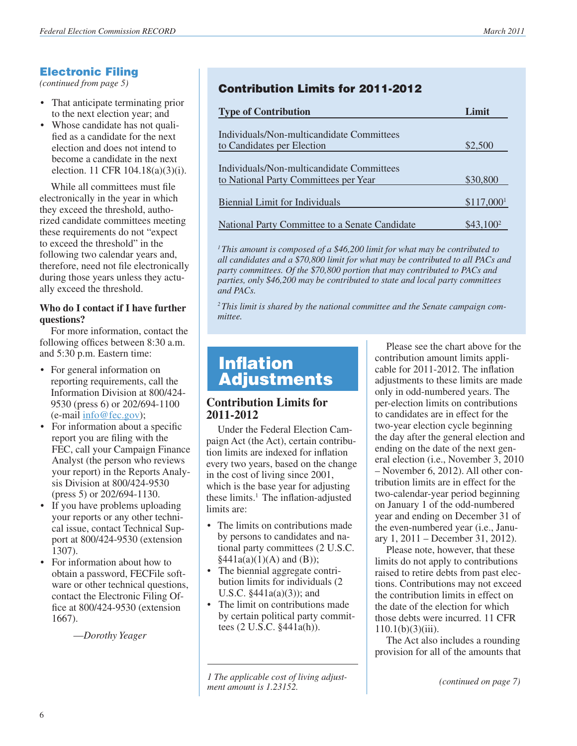# **Electronic Filing**<br>(continued from page 5)

- That anticipate terminating prior to the next election year; and
- Whose candidate has not qualified as a candidate for the next election and does not intend to become a candidate in the next election. 11 CFR 104.18(a)(3)(i).

While all committees must file electronically in the year in which they exceed the threshold, authorized candidate committees meeting these requirements do not "expect to exceed the threshold" in the following two calendar years and, therefore, need not file electronically during those years unless they actually exceed the threshold.

### **Who do I contact if I have further questions?**

For more information, contact the following offices between 8:30 a.m. and 5:30 p.m. Eastern time:

- For general information on reporting requirements, call the Information Division at 800/424- 9530 (press 6) or 202/694-1100 (e-mail [info@fec.gov](mailto:info@fec.gov));
- For information about a specific report you are filing with the FEC, call your Campaign Finance Analyst (the person who reviews your report) in the Reports Analysis Division at 800/424-9530 (press 5) or 202/694-1130.
- If you have problems uploading your reports or any other technical issue, contact Technical Support at 800/424-9530 (extension 1307).
- For information about how to obtain a password, FECFile software or other technical questions, contact the Electronic Filing Office at 800/424-9530 (extension 1667).

—*Dorothy Yeager*

### **Contribution Limits for 2011-2012**

| <b>Type of Contribution</b>                    | Limit                   |
|------------------------------------------------|-------------------------|
|                                                |                         |
| Individuals/Non-multicandidate Committees      |                         |
| to Candidates per Election                     | \$2,500                 |
|                                                |                         |
| Individuals/Non-multicandidate Committees      |                         |
| to National Party Committees per Year          | \$30,800                |
|                                                |                         |
| Biennial Limit for Individuals                 | $$117,000$ <sup>1</sup> |
|                                                |                         |
| National Party Committee to a Senate Candidate | \$43,100 <sup>2</sup>   |

*1 This amount is composed of a \$46,200 limit for what may be contributed to all candidates and a \$70,800 limit for what may be contributed to all PACs and party committees. Of the \$70,800 portion that may contributed to PACs and parties, only \$46,200 may be contributed to state and local party committees and PACs.*

*2 This limit is shared by the national committee and the Senate campaign committee.*

### Inflation Adjustments

### **Contribution Limits for 2011-2012**

Under the Federal Election Campaign Act (the Act), certain contribution limits are indexed for inflation every two years, based on the change in the cost of living since 2001, which is the base year for adjusting these limits.<sup>1</sup> The inflation-adjusted limits are:

- The limits on contributions made by persons to candidates and national party committees (2 U.S.C.  $§441a(a)(1)(A)$  and (B));
- The biennial aggregate contribution limits for individuals (2 U.S.C.  $§441a(a)(3)$ ; and
- The limit on contributions made by certain political party committees (2 U.S.C. §441a(h)).

*1 The applicable cost of living adjustment amount is 1.23152.*

Please see the chart above for the contribution amount limits applicable for 2011-2012. The inflation adjustments to these limits are made only in odd-numbered years. The per-election limits on contributions to candidates are in effect for the two-year election cycle beginning the day after the general election and ending on the date of the next general election (i.e., November 3, 2010 – November 6, 2012). All other contribution limits are in effect for the two-calendar-year period beginning on January 1 of the odd-numbered year and ending on December 31 of the even-numbered year (i.e., January 1, 2011 – December 31, 2012).

Please note, however, that these limits do not apply to contributions raised to retire debts from past elections. Contributions may not exceed the contribution limits in effect on the date of the election for which those debts were incurred. 11 CFR  $110.1(b)(3)(iii)$ .

The Act also includes a rounding provision for all of the amounts that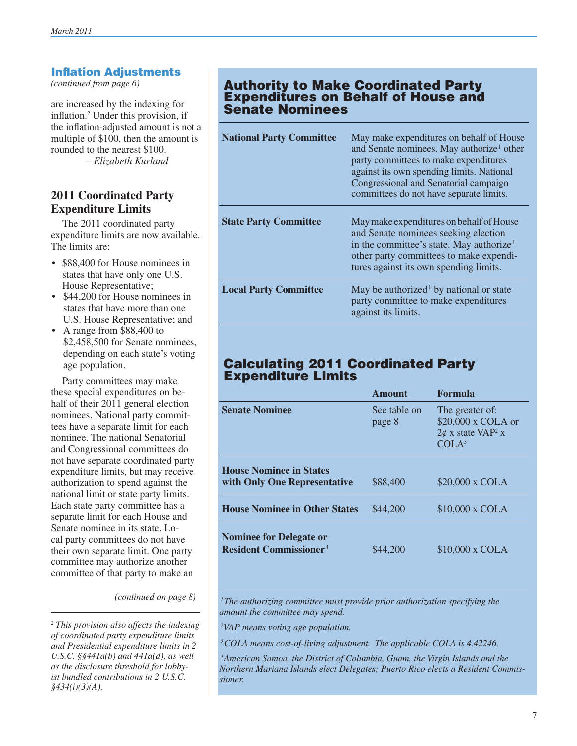### **Inflation Adjustments**<br>(continued from page 6)

are increased by the indexing for inflation.2 Under this provision, if the inflation-adjusted amount is not a multiple of \$100, then the amount is rounded to the nearest \$100. *—Elizabeth Kurland*

### **2011 Coordinated Party Expenditure Limits**

The 2011 coordinated party expenditure limits are now available. The limits are:

- \$88,400 for House nominees in states that have only one U.S. House Representative;
- \$44,200 for House nominees in states that have more than one U.S. House Representative; and
- A range from \$88,400 to \$2,458,500 for Senate nominees, depending on each state's voting age population.

Party committees may make these special expenditures on behalf of their 2011 general election nominees. National party committees have a separate limit for each nominee. The national Senatorial and Congressional committees do not have separate coordinated party expenditure limits, but may receive authorization to spend against the national limit or state party limits. Each state party committee has a separate limit for each House and Senate nominee in its state. Local party committees do not have their own separate limit. One party committee may authorize another committee of that party to make an

*(continued on page 8)*

### **Authority to Make Coordinated Party**  Expenditures on Behalf of House and Senate Nominees

| <b>National Party Committee</b> | May make expenditures on behalf of House<br>and Senate nominees. May authorize <sup>1</sup> other<br>party committees to make expenditures<br>against its own spending limits. National<br>Congressional and Senatorial campaign<br>committees do not have separate limits. |
|---------------------------------|-----------------------------------------------------------------------------------------------------------------------------------------------------------------------------------------------------------------------------------------------------------------------------|
| <b>State Party Committee</b>    | May make expenditures on behalf of House<br>and Senate nominees seeking election<br>in the committee's state. May authorize <sup>1</sup><br>other party committees to make expendi-<br>tures against its own spending limits.                                               |
| <b>Local Party Committee</b>    | May be authorized <sup>1</sup> by national or state<br>party committee to make expenditures<br>against its limits.                                                                                                                                                          |

### Calculating 2011 Coordinated Party Expenditure Limits

|                                                                            | <b>Amount</b>          | <b>Formula</b>                                                                                                |
|----------------------------------------------------------------------------|------------------------|---------------------------------------------------------------------------------------------------------------|
| <b>Senate Nominee</b>                                                      | See table on<br>page 8 | The greater of:<br>\$20,000 x COLA or<br>$2\phi$ x state VAP <sup>2</sup> x<br>CO <sup>7</sup> A <sup>3</sup> |
| <b>House Nominee in States</b><br>with Only One Representative             | \$88,400               | \$20,000 x COLA                                                                                               |
| <b>House Nominee in Other States</b>                                       | \$44,200               | \$10,000 x COLA                                                                                               |
| <b>Nominee for Delegate or</b><br><b>Resident Commissioner<sup>4</sup></b> | \$44,200               | \$10,000 x COLA                                                                                               |

<sup>1</sup>The authorizing committee must provide prior authorization specifying the *amount the committee may spend.*

 *2VAP means voting age population.* 

 *3COLA means cost-of-living adjustment. The applicable COLA is 4.42246.* 

 *4American Samoa, the District of Columbia, Guam, the Virgin Islands and the Northern Mariana Islands elect Delegates; Puerto Rico elects a Resident Commissioner.*

*<sup>2</sup> This provision also affects the indexing of coordinated party expenditure limits and Presidential expenditure limits in 2 U.S.C. §§441a(b) and 441a(d), as well as the disclosure threshold for lobbyist bundled contributions in 2 U.S.C. §434(i)(3)(A).*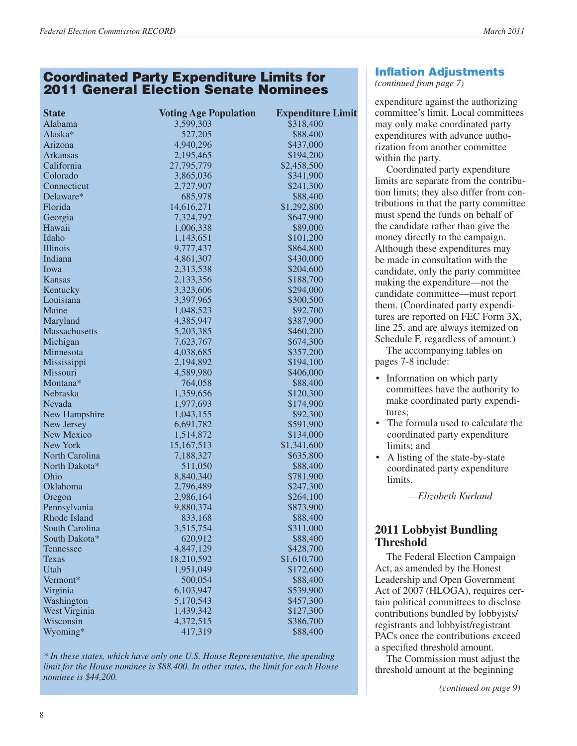### Coordinated Party Expenditure Limits for 2011 General Election Senate Nominees

| <b>State</b>    | <b>Voting Age Population</b> | <b>Expenditure Limit</b> |
|-----------------|------------------------------|--------------------------|
| Alabama         | 3,599,303                    | \$318,400                |
| Alaska*         | 527,205                      | \$88,400                 |
| Arizona         | 4,940,296                    | \$437,000                |
| <b>Arkansas</b> | 2,195,465                    | \$194,200                |
| California      | 27,795,779                   | \$2,458,500              |
| Colorado        | 3,865,036                    | \$341,900                |
| Connecticut     | 2,727,907                    | \$241,300                |
| Delaware*       | 685,978                      | \$88,400                 |
| Florida         | 14,616,271                   | \$1,292,800              |
| Georgia         | 7,324,792                    | \$647,900                |
| Hawaii          | 1,006,338                    | \$89,000                 |
| Idaho           | 1,143,651                    | \$101,200                |
| Illinois        | 9,777,437                    | \$864,800                |
| Indiana         | 4,861,307                    | \$430,000                |
| Iowa            | 2,313,538                    | \$204,600                |
| Kansas          | 2,133,356                    | \$188,700                |
| Kentucky        | 3,323,606                    | \$294,000                |
| Louisiana       | 3,397,965                    | \$300,500                |
| Maine           | 1,048,523                    | \$92,700                 |
| Maryland        | 4,385,947                    | \$387,900                |
| Massachusetts   | 5,203,385                    | \$460,200                |
| Michigan        | 7,623,767                    | \$674,300                |
| Minnesota       | 4,038,685                    | \$357,200                |
| Mississippi     | 2,194,892                    | \$194,100                |
| Missouri        | 4,589,980                    | \$406,000                |
| Montana*        | 764,058                      | \$88,400                 |
| Nebraska        | 1,359,656                    | \$120,300                |
| Nevada          | 1,977,693                    | \$174,900                |
| New Hampshire   | 1,043,155                    | \$92,300                 |
| New Jersey      | 6,691,782                    | \$591,900                |
| New Mexico      | 1,514,872                    | \$134,000                |
| <b>New York</b> | 15, 167, 513                 | \$1,341,600              |
| North Carolina  | 7,188,327                    | \$635,800                |
| North Dakota*   | 511,050                      | \$88,400                 |
| Ohio            | 8,840,340                    | \$781,900                |
| Oklahoma        | 2,796,489                    | \$247,300                |
| Oregon          | 2,986,164                    | \$264,100                |
| Pennsylvania    | 9,880,374                    | \$873,900                |
| Rhode Island    | 833,168                      | \$88,400                 |
| South Carolina  | 3,515,754                    | \$311,000                |
| South Dakota*   | 620,912                      | \$88,400                 |
| Tennessee       | 4,847,129                    | \$428,700                |
| <b>Texas</b>    | 18,210,592                   | \$1,610,700              |
| Utah            | 1,951,049                    | \$172,600                |
| Vermont*        | 500,054                      | \$88,400                 |
| Virginia        | 6,103,947                    | \$539,900                |
| Washington      | 5,170,543                    | \$457,300                |
| West Virginia   | 1,439,342                    | \$127,300                |
| Wisconsin       | 4,372,515                    | \$386,700                |
| Wyoming*        | 417,319                      | \$88,400                 |

*\* In these states, which have only one U.S. House Representative, the spending limit for the House nominee is \$88,400. In other states, the limit for each House nominee is \$44,200.*

### Inflation Adjustments

*(continued from page 7)*

expenditure against the authorizing committee's limit. Local committees may only make coordinated party expenditures with advance authorization from another committee within the party.

Coordinated party expenditure limits are separate from the contribution limits; they also differ from contributions in that the party committee must spend the funds on behalf of the candidate rather than give the money directly to the campaign. Although these expenditures may be made in consultation with the candidate, only the party committee making the expenditure—not the candidate committee—must report them. (Coordinated party expenditures are reported on FEC Form 3X, line 25, and are always itemized on Schedule F, regardless of amount.)

The accompanying tables on pages 7-8 include:

- Information on which party committees have the authority to make coordinated party expenditures;
- The formula used to calculate the coordinated party expenditure limits; and
- A listing of the state-by-state coordinated party expenditure limits.

*—Elizabeth Kurland*

### **2011 Lobbyist Bundling Threshold**

The Federal Election Campaign Act, as amended by the Honest Leadership and Open Government Act of 2007 (HLOGA), requires certain political committees to disclose contributions bundled by lobbyists/ registrants and lobbyist/registrant PACs once the contributions exceed a specified threshold amount.

The Commission must adjust the threshold amount at the beginning

*(continued on page 9)*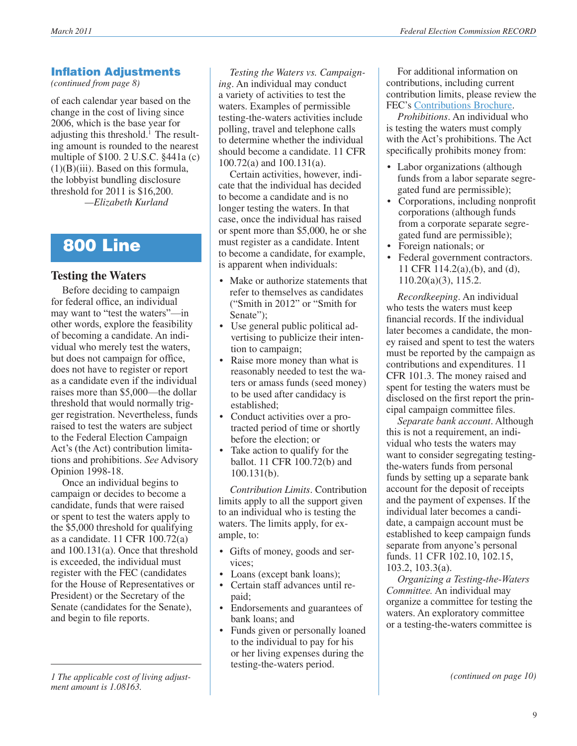### Inflation Adjustments

*(continued from page 8)*

of each calendar year based on the change in the cost of living since 2006, which is the base year for adjusting this threshold.<sup>1</sup> The resulting amount is rounded to the nearest multiple of \$100. 2 U.S.C. §441a (c)  $(1)(B)(iii)$ . Based on this formula, the lobbyist bundling disclosure threshold for 2011 is \$16,200. *—Elizabeth Kurland*

### 800 Line

### **Testing the Waters**

Before deciding to campaign for federal office, an individual may want to "test the waters"—in other words, explore the feasibility of becoming a candidate. An individual who merely test the waters, but does not campaign for office, does not have to register or report as a candidate even if the individual raises more than \$5,000—the dollar threshold that would normally trigger registration. Nevertheless, funds raised to test the waters are subject to the Federal Election Campaign Act's (the Act) contribution limitations and prohibitions. *See* Advisory Opinion 1998-18.

Once an individual begins to campaign or decides to become a candidate, funds that were raised or spent to test the waters apply to the \$5,000 threshold for qualifying as a candidate. 11 CFR 100.72(a) and 100.131(a). Once that threshold is exceeded, the individual must register with the FEC (candidates for the House of Representatives or President) or the Secretary of the Senate (candidates for the Senate), and begin to file reports.

*1 The applicable cost of living adjustment amount is 1.08163.*

*Testing the Waters vs. Campaigning*. An individual may conduct a variety of activities to test the waters. Examples of permissible testing-the-waters activities include polling, travel and telephone calls to determine whether the individual should become a candidate. 11 CFR 100.72(a) and 100.131(a).

Certain activities, however, indicate that the individual has decided to become a candidate and is no longer testing the waters. In that case, once the individual has raised or spent more than \$5,000, he or she must register as a candidate. Intent to become a candidate, for example, is apparent when individuals:

- Make or authorize statements that refer to themselves as candidates ("Smith in 2012" or "Smith for Senate":
- Use general public political advertising to publicize their intention to campaign;
- Raise more money than what is reasonably needed to test the waters or amass funds (seed money) to be used after candidacy is established;
- Conduct activities over a protracted period of time or shortly before the election; or
- Take action to qualify for the ballot. 11 CFR 100.72(b) and 100.131(b).

*Contribution Limits*. Contribution limits apply to all the support given to an individual who is testing the waters. The limits apply, for example, to:

- Gifts of money, goods and services;
- Loans (except bank loans);
- • Certain staff advances until repaid;
- Endorsements and guarantees of bank loans; and
- Funds given or personally loaned to the individual to pay for his or her living expenses during the testing-the-waters period.

For additional information on contributions, including current contribution limits, please review the FEC's [Contributions Brochure.](http://www.fec.gov/pages/brochures/contrib.shtml)

*Prohibitions*. An individual who is testing the waters must comply with the Act's prohibitions. The Act specifically prohibits money from:

- Labor organizations (although funds from a labor separate segregated fund are permissible);
- Corporations, including nonprofit corporations (although funds from a corporate separate segregated fund are permissible);
- Foreign nationals; or
- Federal government contractors. 11 CFR 114.2(a),(b), and (d), 110.20(a)(3), 115.2.

*Recordkeeping*. An individual who tests the waters must keep financial records. If the individual later becomes a candidate, the money raised and spent to test the waters must be reported by the campaign as contributions and expenditures. 11 CFR 101.3. The money raised and spent for testing the waters must be disclosed on the first report the principal campaign committee files.

*Separate bank account*. Although this is not a requirement, an individual who tests the waters may want to consider segregating testingthe-waters funds from personal funds by setting up a separate bank account for the deposit of receipts and the payment of expenses. If the individual later becomes a candidate, a campaign account must be established to keep campaign funds separate from anyone's personal funds. 11 CFR 102.10, 102.15, 103.2, 103.3(a).

*Organizing a Testing-the-Waters Committee.* An individual may organize a committee for testing the waters. An exploratory committee or a testing-the-waters committee is

*(continued on page 10)*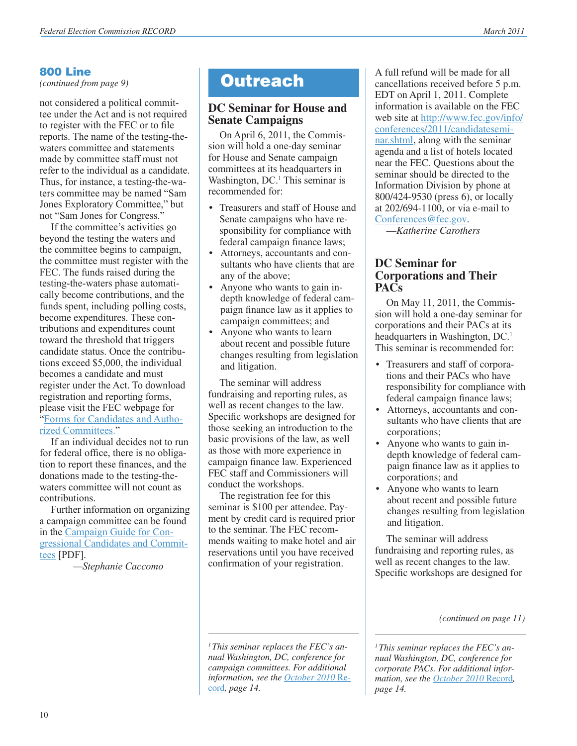### 800 Line

*(continued from page 9)*

not considered a political committee under the Act and is not required to register with the FEC or to file reports. The name of the testing-thewaters committee and statements made by committee staff must not refer to the individual as a candidate. Thus, for instance, a testing-the-waters committee may be named "Sam Jones Exploratory Committee," but not "Sam Jones for Congress."

If the committee's activities go beyond the testing the waters and the committee begins to campaign, the committee must register with the FEC. The funds raised during the testing-the-waters phase automatically become contributions, and the funds spent, including polling costs, become expenditures. These contributions and expenditures count toward the threshold that triggers candidate status. Once the contributions exceed \$5,000, the individual becomes a candidate and must register under the Act. To download registration and reporting forms, please visit the FEC webpage for "[Forms for Candidates and Autho](http://www.fec.gov/info/forms.shtml)[rized Committees.](http://www.fec.gov/info/forms.shtml)"

If an individual decides not to run for federal office, there is no obligation to report these finances, and the donations made to the testing-thewaters committee will not count as contributions.

Further information on organizing a campaign committee can be found in the [Campaign Guide for Con](http://www.fec.gov/pdf/candgui.pdf)[gressional Candidates and Commit](http://www.fec.gov/pdf/candgui.pdf)[tees](http://www.fec.gov/pdf/candgui.pdf) [PDF].

*—Stephanie Caccomo*

### **DC Seminar for House and Senate Campaigns**

On April 6, 2011, the Commission will hold a one-day seminar for House and Senate campaign committees at its headquarters in Washington, DC.<sup>1</sup> This seminar is recommended for:

- Treasurers and staff of House and Senate campaigns who have responsibility for compliance with federal campaign finance laws;
- • Attorneys, accountants and consultants who have clients that are any of the above;
- Anyone who wants to gain indepth knowledge of federal campaign finance law as it applies to campaign committees; and
- Anyone who wants to learn about recent and possible future changes resulting from legislation and litigation.

The seminar will address fundraising and reporting rules, as well as recent changes to the law. Specific workshops are designed for those seeking an introduction to the basic provisions of the law, as well as those with more experience in campaign finance law. Experienced FEC staff and Commissioners will conduct the workshops.

The registration fee for this seminar is \$100 per attendee. Payment by credit card is required prior to the seminar. The FEC recommends waiting to make hotel and air reservations until you have received confirmation of your registration.

**Outreach** A full refund will be made for all cancellations received before 5 p.m. EDT on April 1, 2011. Complete information is available on the FEC web site at [http://www.fec.gov/info/](http://www.fec.gov/info/conferences/2011/candidateseminar.shtml) [conferences/2011/candidatesemi](http://www.fec.gov/info/conferences/2011/candidateseminar.shtml)[nar.shtml,](http://www.fec.gov/info/conferences/2011/candidateseminar.shtml) along with the seminar agenda and a list of hotels located near the FEC. Questions about the seminar should be directed to the Information Division by phone at 800/424-9530 (press 6), or locally at 202/694-1100, or via e-mail to [Conferences@fec.gov.](mailto:Conferences@fec.gov)

—*Katherine Carothers*

### **DC Seminar for Corporations and Their PACs**

On May 11, 2011, the Commission will hold a one-day seminar for corporations and their PACs at its headquarters in Washington, DC.<sup>1</sup> This seminar is recommended for:

- Treasurers and staff of corporations and their PACs who have responsibility for compliance with federal campaign finance laws;
- • Attorneys, accountants and consultants who have clients that are corporations;
- Anyone who wants to gain indepth knowledge of federal campaign finance law as it applies to corporations; and
- Anyone who wants to learn about recent and possible future changes resulting from legislation and litigation.

The seminar will address fundraising and reporting rules, as well as recent changes to the law. Specific workshops are designed for

*(continued on page 11)*

*1 This seminar replaces the FEC's annual Washington, DC, conference for corporate PACs. For additional information, see the [October 2010](http://www.fec.gov/pdf/record/2010/oct10.pdf)* Record*, page 14.*

*1 This seminar replaces the FEC's annual Washington, DC, conference for campaign committees. For additional information, see the [October 2010](http://www.fec.gov/pdf/record/2010/oct10.pdf)* Re[cord](http://www.fec.gov/pdf/record/2010/oct10.pdf)*, page 14.*